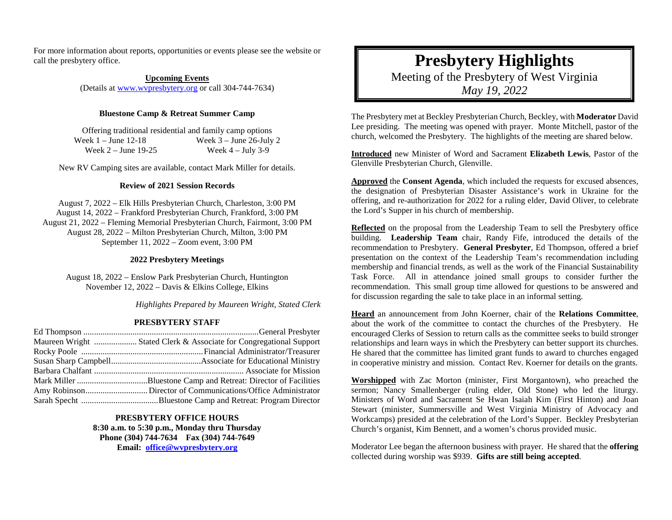For more information about reports, opportunities or events please see the website or call the presbytery office.

> **Upcoming Events** (Details at [www.wvpresbytery.org](http://www.wvpresbytery.org/) or call 304-744-7634)

## **Bluestone Camp & Retreat Summer Camp**

Offering traditional residential and family camp options Week 1 – June 12-18 Week 3 – June 26-July 2<br>Week 2 – June 19-25 Week 4 – July 3-9 Week  $2 -$  June 19-25

New RV Camping sites are available, contact Mark Miller for details.

## **Review of 2021 Session Records**

August 7, 2022 – Elk Hills Presbyterian Church, Charleston, 3:00 PM August 14, 2022 – Frankford Presbyterian Church, Frankford, 3:00 PM August 21, 2022 – Fleming Memorial Presbyterian Church, Fairmont, 3:00 PM August 28, 2022 – Milton Presbyterian Church, Milton, 3:00 PM September 11, 2022 – Zoom event, 3:00 PM

## **2022 Presbytery Meetings**

August 18, 2022 – Enslow Park Presbyterian Church, Huntington November 12, 2022 – Davis & Elkins College, Elkins

*Highlights Prepared by Maureen Wright, Stated Clerk*

## **PRESBYTERY STAFF**

| Maureen Wright  Stated Clerk & Associate for Congregational Support |
|---------------------------------------------------------------------|
|                                                                     |
|                                                                     |
|                                                                     |
|                                                                     |
|                                                                     |
|                                                                     |

**PRESBYTERY OFFICE HOURS 8:30 a.m. to 5:30 p.m., Monday thru Thursday Phone (304) 744-7634 Fax (304) 744-7649 Email: [office@wvpresbytery.org](mailto:office@wvpresbytery.org)**

**Presbytery Highlights** Meeting of the Presbytery of West Virginia *May 19, 2022*

The Presbytery met at Beckley Presbyterian Church, Beckley, with **Moderator** David Lee presiding. The meeting was opened with prayer. Monte Mitchell, pastor of the church, welcomed the Presbytery. The highlights of the meeting are shared below.

**Introduced** new Minister of Word and Sacrament **Elizabeth Lewis**, Pastor of the Glenville Presbyterian Church, Glenville.

**Approved** the **Consent Agenda**, which included the requests for excused absences, the designation of Presbyterian Disaster Assistance's work in Ukraine for the offering, and re-authorization for 2022 for a ruling elder, David Oliver, to celebrate the Lord's Supper in his church of membership.

**Reflected** on the proposal from the Leadership Team to sell the Presbytery office building. **Leadership Team** chair, Randy Fife, introduced the details of the recommendation to Presbytery. **General Presbyter**, Ed Thompson, offered a brief presentation on the context of the Leadership Team's recommendation including membership and financial trends, as well as the work of the Financial Sustainability Task Force. All in attendance joined small groups to consider further the recommendation. This small group time allowed for questions to be answered and for discussion regarding the sale to take place in an informal setting.

**Heard** an announcement from John Koerner, chair of the **Relations Committee**, about the work of the committee to contact the churches of the Presbytery. He encouraged Clerks of Session to return calls as the committee seeks to build stronger relationships and learn ways in which the Presbytery can better support its churches. He shared that the committee has limited grant funds to award to churches engaged in cooperative ministry and mission. Contact Rev. Koerner for details on the grants.

**Worshipped** with Zac Morton (minister, First Morgantown), who preached the sermon; Nancy Smallenberger (ruling elder, Old Stone) who led the liturgy. Ministers of Word and Sacrament Se Hwan Isaiah Kim (First Hinton) and Joan Stewart (minister, Summersville and West Virginia Ministry of Advocacy and Workcamps) presided at the celebration of the Lord's Supper. Beckley Presbyterian Church's organist, Kim Bennett, and a women's chorus provided music.

Moderator Lee began the afternoon business with prayer. He shared that the **offering** collected during worship was \$939. **Gifts are still being accepted**.